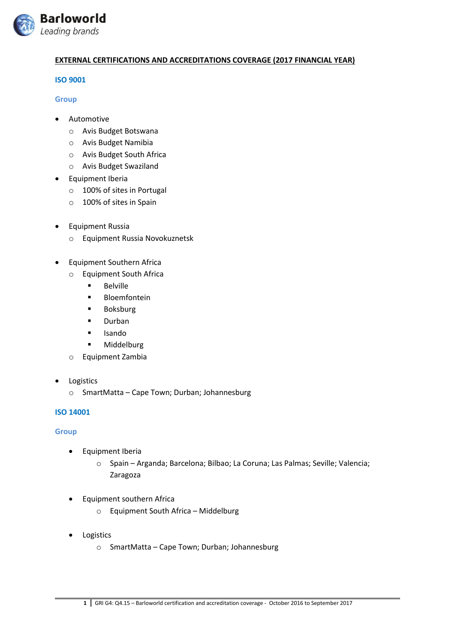

### **EXTERNAL CERTIFICATIONS AND ACCREDITATIONS COVERAGE (2017 FINANCIAL YEAR)**

### **ISO 9001**

#### **Group**

- **•** Automotive
	- o Avis Budget Botswana
	- o Avis Budget Namibia
	- o Avis Budget South Africa
	- o Avis Budget Swaziland
- Equipment Iberia
	- o 100% of sites in Portugal
	- o 100% of sites in Spain
- Equipment Russia
	- o Equipment Russia Novokuznetsk
- Equipment Southern Africa
	- o Equipment South Africa
		- **Belville**
		- **Bloemfontein**
		- **Boksburg**
		- **Durban**
		- Isando
		- **■** Middelburg
	- o Equipment Zambia
- Logistics
	- o SmartMatta Cape Town; Durban; Johannesburg

### **ISO 14001**

### **Group**

- Equipment Iberia
	- o Spain Arganda; Barcelona; Bilbao; La Coruna; Las Palmas; Seville; Valencia; Zaragoza
- Equipment southern Africa
	- o Equipment South Africa Middelburg
- **•** Logistics
	- o SmartMatta Cape Town; Durban; Johannesburg